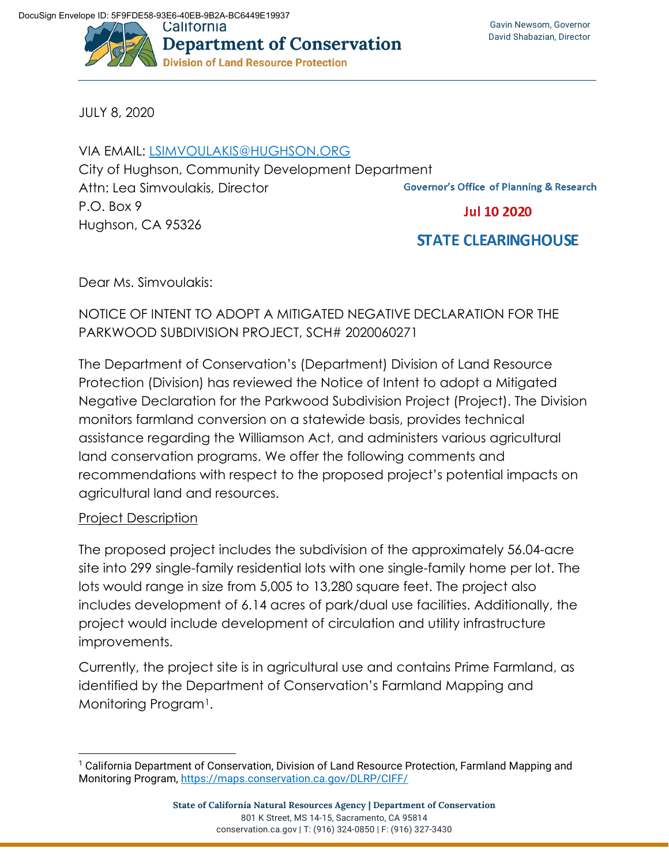

JULY 8, 2020

## VIA EMAIL: [LSIMVOULAKIS@HUGHSON.ORG](mailto:lsimvoulakis@hughson.org)

City of Hughson, Community Development Department Attn: Lea Simvoulakis, Director **Governor's Office of Planning & Research** P.O. Box 9 **Jul 10 2020** Hughson, CA 95326

# **STATE CLEARINGHOUSE**

Dear Ms. Simvoulakis:

## NOTICE OF INTENT TO ADOPT A MITIGATED NEGATIVE DECLARATION FOR THE PARKWOOD SUBDIVISION PROJECT, SCH# 2020060271

The Department of Conservation's (Department) Division of Land Resource Protection (Division) has reviewed the Notice of Intent to adopt a Mitigated Negative Declaration for the Parkwood Subdivision Project (Project). The Division monitors farmland conversion on a statewide basis, provides technical assistance regarding the Williamson Act, and administers various agricultural land conservation programs. We offer the following comments and recommendations with respect to the proposed project's potential impacts on agricultural land and resources.

### Project Description

The proposed project includes the subdivision of the approximately 56.04-acre site into 299 single-family residential lots with one single-family home per lot. The lots would range in size from 5,005 to 13,280 square feet. The project also includes development of 6.14 acres of park/dual use facilities. Additionally, the project would include development of circulation and utility infrastructure improvements.

Currently, the project site is in agricultural use and contains Prime Farmland, as identified by the Department of Conservation's Farmland Mapping and Monitoring Program<sup>1</sup>.

<span id="page-0-0"></span><sup>1</sup> California Department of Conservation, Division of Land Resource Protection, Farmland Mapping and Monitoring Program,<https://maps.conservation.ca.gov/DLRP/CIFF/>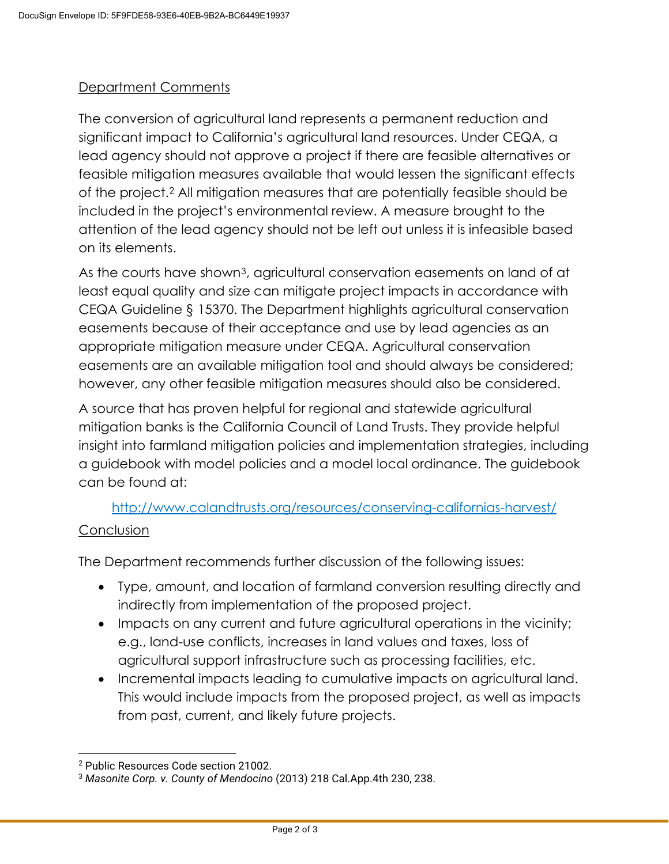#### Department Comments

The conversion of agricultural land represents a permanent reduction and significant impact to California's agricultural land resources. Under CEQA, a lead agency should not approve a project if there are feasible alternatives or feasible mitigation measures available that would lessen the significant effects of the project.[2](#page-1-0) All mitigation measures that are potentially feasible should be included in the project's environmental review. A measure brought to the attention of the lead agency should not be left out unless it is infeasible based on its elements.

As the courts have shown<sup>[3](#page-1-1)</sup>, agricultural conservation easements on land of at least equal quality and size can mitigate project impacts in accordance with CEQA Guideline § 15370. The Department highlights agricultural conservation easements because of their acceptance and use by lead agencies as an appropriate mitigation measure under CEQA. Agricultural conservation easements are an available mitigation tool and should always be considered; however, any other feasible mitigation measures should also be considered.

A source that has proven helpful for regional and statewide agricultural mitigation banks is the California Council of Land Trusts. They provide helpful insight into farmland mitigation policies and implementation strategies, including a guidebook with model policies and a model local ordinance. The guidebook can be found at:

<http://www.calandtrusts.org/resources/conserving-californias-harvest/>

#### **Conclusion**

The Department recommends further discussion of the following issues:

- Type, amount, and location of farmland conversion resulting directly and indirectly from implementation of the proposed project.
- Impacts on any current and future agricultural operations in the vicinity; e.g., land-use conflicts, increases in land values and taxes, loss of agricultural support infrastructure such as processing facilities, etc.
- Incremental impacts leading to cumulative impacts on agricultural land. This would include impacts from the proposed project, as well as impacts from past, current, and likely future projects.

<span id="page-1-0"></span><sup>2</sup> Public Resources Code section 21002.

<span id="page-1-1"></span><sup>3</sup> *Masonite Corp. v. County of Mendocino* (2013) 218 Cal.App.4th 230, 238.